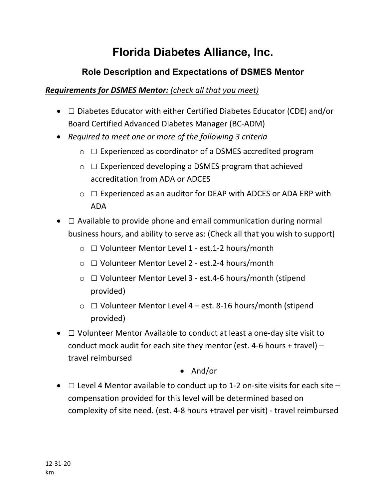# **Florida Diabetes Alliance, Inc.**

## **Role Description and Expectations of DSMES Mentor**

#### *Requirements for DSMES Mentor: (check all that you meet)*

- $\Box$  Diabetes Educator with either Certified Diabetes Educator (CDE) and/or Board Certified Advanced Diabetes Manager (BC-ADM)
- *Required to meet one or more of the following 3 criteria*
	- $\circ$   $\Box$  Experienced as coordinator of a DSMES accredited program
	- $\circ$   $\Box$  Experienced developing a DSMES program that achieved accreditation from ADA or ADCES
	- $\circ$   $\Box$  Experienced as an auditor for DEAP with ADCES or ADA ERP with ADA
- $\Box$  Available to provide phone and email communication during normal business hours, and ability to serve as: (Check all that you wish to support)
	- o □ Volunteer Mentor Level 1 est.1-2 hours/month
	- o □ Volunteer Mentor Level 2 est.2-4 hours/month
	- o □ Volunteer Mentor Level 3 est.4-6 hours/month (stipend provided)
	- $\circ$   $\Box$  Volunteer Mentor Level 4 est. 8-16 hours/month (stipend provided)
- $\Box$  Volunteer Mentor Available to conduct at least a one-day site visit to conduct mock audit for each site they mentor (est. 4-6 hours + travel) – travel reimbursed

### • And/or

•  $\Box$  Level 4 Mentor available to conduct up to 1-2 on-site visits for each site  $$ compensation provided for this level will be determined based on complexity of site need. (est. 4-8 hours +travel per visit) - travel reimbursed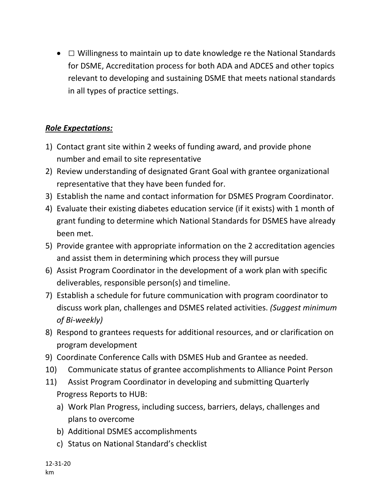•  $\Box$  Willingness to maintain up to date knowledge re the National Standards for DSME, Accreditation process for both ADA and ADCES and other topics relevant to developing and sustaining DSME that meets national standards in all types of practice settings.

### *Role Expectations:*

- 1) Contact grant site within 2 weeks of funding award, and provide phone number and email to site representative
- 2) Review understanding of designated Grant Goal with grantee organizational representative that they have been funded for.
- 3) Establish the name and contact information for DSMES Program Coordinator.
- 4) Evaluate their existing diabetes education service (if it exists) with 1 month of grant funding to determine which National Standards for DSMES have already been met.
- 5) Provide grantee with appropriate information on the 2 accreditation agencies and assist them in determining which process they will pursue
- 6) Assist Program Coordinator in the development of a work plan with specific deliverables, responsible person(s) and timeline.
- 7) Establish a schedule for future communication with program coordinator to discuss work plan, challenges and DSMES related activities. *(Suggest minimum of Bi-weekly)*
- 8) Respond to grantees requests for additional resources, and or clarification on program development
- 9) Coordinate Conference Calls with DSMES Hub and Grantee as needed.
- 10) Communicate status of grantee accomplishments to Alliance Point Person
- 11) Assist Program Coordinator in developing and submitting Quarterly Progress Reports to HUB:
	- a) Work Plan Progress, including success, barriers, delays, challenges and plans to overcome
	- b) Additional DSMES accomplishments
	- c) Status on National Standard's checklist